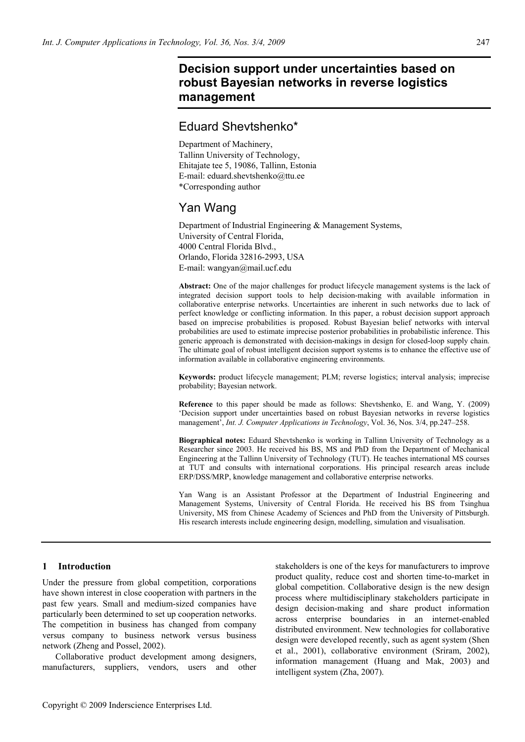# **Decision support under uncertainties based on robust Bayesian networks in reverse logistics management**

## Eduard Shevtshenko\*

Department of Machinery, Tallinn University of Technology, Ehitajate tee 5, 19086, Tallinn, Estonia E-mail: eduard.shevtshenko@ttu.ee \*Corresponding author

## Yan Wang

Department of Industrial Engineering & Management Systems, University of Central Florida, 4000 Central Florida Blvd., Orlando, Florida 32816-2993, USA E-mail: wangyan@mail.ucf.edu

**Abstract:** One of the major challenges for product lifecycle management systems is the lack of integrated decision support tools to help decision-making with available information in collaborative enterprise networks. Uncertainties are inherent in such networks due to lack of perfect knowledge or conflicting information. In this paper, a robust decision support approach based on imprecise probabilities is proposed. Robust Bayesian belief networks with interval probabilities are used to estimate imprecise posterior probabilities in probabilistic inference. This generic approach is demonstrated with decision-makings in design for closed-loop supply chain. The ultimate goal of robust intelligent decision support systems is to enhance the effective use of information available in collaborative engineering environments.

**Keywords:** product lifecycle management; PLM; reverse logistics; interval analysis; imprecise probability; Bayesian network.

**Reference** to this paper should be made as follows: Shevtshenko, E. and Wang, Y. (2009) 'Decision support under uncertainties based on robust Bayesian networks in reverse logistics management', *Int. J. Computer Applications in Technology*, Vol. 36, Nos. 3/4, pp.247–258.

**Biographical notes:** Eduard Shevtshenko is working in Tallinn University of Technology as a Researcher since 2003. He received his BS, MS and PhD from the Department of Mechanical Engineering at the Tallinn University of Technology (TUT). He teaches international MS courses at TUT and consults with international corporations. His principal research areas include ERP/DSS/MRP, knowledge management and collaborative enterprise networks.

Yan Wang is an Assistant Professor at the Department of Industrial Engineering and Management Systems, University of Central Florida. He received his BS from Tsinghua University, MS from Chinese Academy of Sciences and PhD from the University of Pittsburgh. His research interests include engineering design, modelling, simulation and visualisation.

## **1 Introduction**

Under the pressure from global competition, corporations have shown interest in close cooperation with partners in the past few years. Small and medium-sized companies have particularly been determined to set up cooperation networks. The competition in business has changed from company versus company to business network versus business network (Zheng and Possel, 2002).

Collaborative product development among designers, manufacturers, suppliers, vendors, users and other

stakeholders is one of the keys for manufacturers to improve product quality, reduce cost and shorten time-to-market in global competition. Collaborative design is the new design process where multidisciplinary stakeholders participate in design decision-making and share product information across enterprise boundaries in an internet-enabled distributed environment. New technologies for collaborative design were developed recently, such as agent system (Shen et al., 2001), collaborative environment (Sriram, 2002), information management (Huang and Mak, 2003) and intelligent system (Zha, 2007).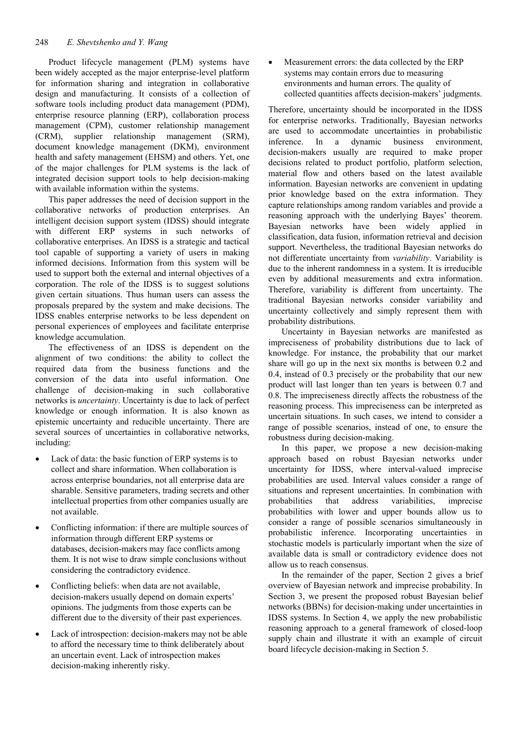Product lifecycle management (PLM) systems have been widely accepted as the major enterprise-level platform for information sharing and integration in collaborative design and manufacturing. It consists of a collection of software tools including product data management (PDM), enterprise resource planning (ERP), collaboration process management (CPM), customer relationship management (CRM), supplier relationship management (SRM), document knowledge management (DKM), environment health and safety management (EHSM) and others. Yet, one of the major challenges for PLM systems is the lack of integrated decision support tools to help decision-making with available information within the systems.

This paper addresses the need of decision support in the collaborative networks of production enterprises. An intelligent decision support system (IDSS) should integrate with different ERP systems in such networks of collaborative enterprises. An IDSS is a strategic and tactical tool capable of supporting a variety of users in making informed decisions. Information from this system will be used to support both the external and internal objectives of a corporation. The role of the IDSS is to suggest solutions given certain situations. Thus human users can assess the proposals prepared by the system and make decisions. The IDSS enables enterprise networks to be less dependent on personal experiences of employees and facilitate enterprise knowledge accumulation.

The effectiveness of an IDSS is dependent on the alignment of two conditions: the ability to collect the required data from the business functions and the conversion of the data into useful information. One challenge of decision-making in such collaborative networks is *uncertainty*. Uncertainty is due to lack of perfect knowledge or enough information. It is also known as epistemic uncertainty and reducible uncertainty. There are several sources of uncertainties in collaborative networks, including:

- Lack of data: the basic function of ERP systems is to collect and share information. When collaboration is across enterprise boundaries, not all enterprise data are sharable. Sensitive parameters, trading secrets and other intellectual properties from other companies usually are not available.
- Conflicting information: if there are multiple sources of information through different ERP systems or databases, decision-makers may face conflicts among them. It is not wise to draw simple conclusions without considering the contradictory evidence.
- Conflicting beliefs: when data are not available. decision-makers usually depend on domain experts' opinions. The judgments from those experts can be different due to the diversity of their past experiences.
- Lack of introspection: decision-makers may not be able to afford the necessary time to think deliberately about an uncertain event. Lack of introspection makes decision-making inherently risky.

Measurement errors: the data collected by the ERP systems may contain errors due to measuring environments and human errors. The quality of collected quantities affects decision-makers' judgments.

Therefore, uncertainty should be incorporated in the IDSS for enterprise networks. Traditionally, Bayesian networks are used to accommodate uncertainties in probabilistic inference. In a dynamic business environment, decision-makers usually are required to make proper decisions related to product portfolio, platform selection, material flow and others based on the latest available information. Bayesian networks are convenient in updating prior knowledge based on the extra information. They capture relationships among random variables and provide a reasoning approach with the underlying Bayes' theorem. Bayesian networks have been widely applied in classification, data fusion, information retrieval and decision support. Nevertheless, the traditional Bayesian networks do not differentiate uncertainty from *variability*. Variability is due to the inherent randomness in a system. It is irreducible even by additional measurements and extra information. Therefore, variability is different from uncertainty. The traditional Bayesian networks consider variability and uncertainty collectively and simply represent them with probability distributions.

Uncertainty in Bayesian networks are manifested as impreciseness of probability distributions due to lack of knowledge. For instance, the probability that our market share will go up in the next six months is between 0.2 and 0.4, instead of 0.3 precisely or the probability that our new product will last longer than ten years is between 0.7 and 0.8. The impreciseness directly affects the robustness of the reasoning process. This impreciseness can be interpreted as uncertain situations. In such cases, we intend to consider a range of possible scenarios, instead of one, to ensure the robustness during decision-making.

In this paper, we propose a new decision-making approach based on robust Bayesian networks under uncertainty for IDSS, where interval-valued imprecise probabilities are used. Interval values consider a range of situations and represent uncertainties. In combination with probabilities that address variabilities, imprecise probabilities with lower and upper bounds allow us to consider a range of possible scenarios simultaneously in probabilistic inference. Incorporating uncertainties in stochastic models is particularly important when the size of available data is small or contradictory evidence does not allow us to reach consensus.

In the remainder of the paper, Section 2 gives a brief overview of Bayesian network and imprecise probability. In Section 3, we present the proposed robust Bayesian belief networks (BBNs) for decision-making under uncertainties in IDSS systems. In Section 4, we apply the new probabilistic reasoning approach to a general framework of closed-loop supply chain and illustrate it with an example of circuit board lifecycle decision-making in Section 5.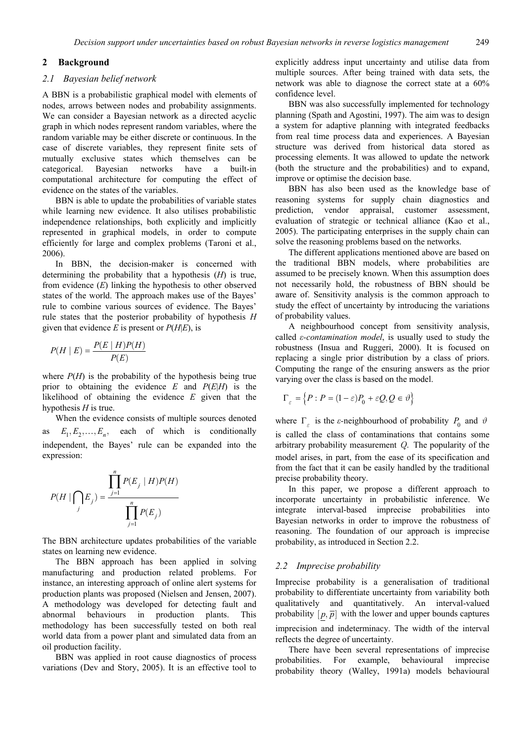## **2 Background**

#### *2.1 Bayesian belief network*

A BBN is a probabilistic graphical model with elements of nodes, arrows between nodes and probability assignments. We can consider a Bayesian network as a directed acyclic graph in which nodes represent random variables, where the random variable may be either discrete or continuous. In the case of discrete variables, they represent finite sets of mutually exclusive states which themselves can be categorical. Bayesian networks have a built-in computational architecture for computing the effect of evidence on the states of the variables.

BBN is able to update the probabilities of variable states while learning new evidence. It also utilises probabilistic independence relationships, both explicitly and implicitly represented in graphical models, in order to compute efficiently for large and complex problems (Taroni et al., 2006).

In BBN, the decision-maker is concerned with determining the probability that a hypothesis (*H*) is true, from evidence (*E*) linking the hypothesis to other observed states of the world. The approach makes use of the Bayes' rule to combine various sources of evidence. The Bayes' rule states that the posterior probability of hypothesis *H* given that evidence  $E$  is present or  $P(H|E)$ , is

$$
P(H \mid E) = \frac{P(E \mid H)P(H)}{P(E)}
$$

where  $P(H)$  is the probability of the hypothesis being true prior to obtaining the evidence  $E$  and  $P(E|H)$  is the likelihood of obtaining the evidence *E* given that the hypothesis *H* is true.

When the evidence consists of multiple sources denoted as  $E_1, E_2, \ldots, E_n$ , each of which is conditionally independent, the Bayes' rule can be expanded into the expression:

$$
P(H \mid \bigcap_j E_j) = \frac{\prod_{j=1}^n P(E_j \mid H)P(H)}{\prod_{j=1}^n P(E_j)}
$$

The BBN architecture updates probabilities of the variable states on learning new evidence.

The BBN approach has been applied in solving manufacturing and production related problems. For instance, an interesting approach of online alert systems for production plants was proposed (Nielsen and Jensen, 2007). A methodology was developed for detecting fault and abnormal behaviours in production plants. This methodology has been successfully tested on both real world data from a power plant and simulated data from an oil production facility.

BBN was applied in root cause diagnostics of process variations (Dev and Story, 2005). It is an effective tool to explicitly address input uncertainty and utilise data from multiple sources. After being trained with data sets, the network was able to diagnose the correct state at a 60% confidence level.

BBN was also successfully implemented for technology planning (Spath and Agostini, 1997). The aim was to design a system for adaptive planning with integrated feedbacks from real time process data and experiences. A Bayesian structure was derived from historical data stored as processing elements. It was allowed to update the network (both the structure and the probabilities) and to expand, improve or optimise the decision base.

BBN has also been used as the knowledge base of reasoning systems for supply chain diagnostics and prediction, vendor appraisal, customer assessment, evaluation of strategic or technical alliance (Kao et al., 2005). The participating enterprises in the supply chain can solve the reasoning problems based on the networks.

The different applications mentioned above are based on the traditional BBN models, where probabilities are assumed to be precisely known. When this assumption does not necessarily hold, the robustness of BBN should be aware of. Sensitivity analysis is the common approach to study the effect of uncertainty by introducing the variations of probability values.

A neighbourhood concept from sensitivity analysis, called *ε-contamination model*, is usually used to study the robustness (Insua and Ruggeri, 2000). It is focused on replacing a single prior distribution by a class of priors. Computing the range of the ensuring answers as the prior varying over the class is based on the model.

$$
\Gamma_{\varepsilon} = \left\{ P : P = (1 - \varepsilon)P_0 + \varepsilon Q, Q \in \vartheta \right\}
$$

where  $\Gamma$ <sub>*ε*</sub> is the *ε*-neighbourhood of probability  $P_0$  and  $\vartheta$ is called the class of contaminations that contains some arbitrary probability measurement *Q*. The popularity of the model arises, in part, from the ease of its specification and from the fact that it can be easily handled by the traditional precise probability theory.

In this paper, we propose a different approach to incorporate uncertainty in probabilistic inference. We integrate interval-based imprecise probabilities into Bayesian networks in order to improve the robustness of reasoning. The foundation of our approach is imprecise probability, as introduced in Section 2.2.

#### *2.2 Imprecise probability*

Imprecise probability is a generalisation of traditional probability to differentiate uncertainty from variability both qualitatively and quantitatively. An interval-valued probability  $[p, \overline{p}]$  with the lower and upper bounds captures imprecision and indeterminacy. The width of the interval reflects the degree of uncertainty.

There have been several representations of imprecise probabilities. For example, behavioural imprecise probability theory (Walley, 1991a) models behavioural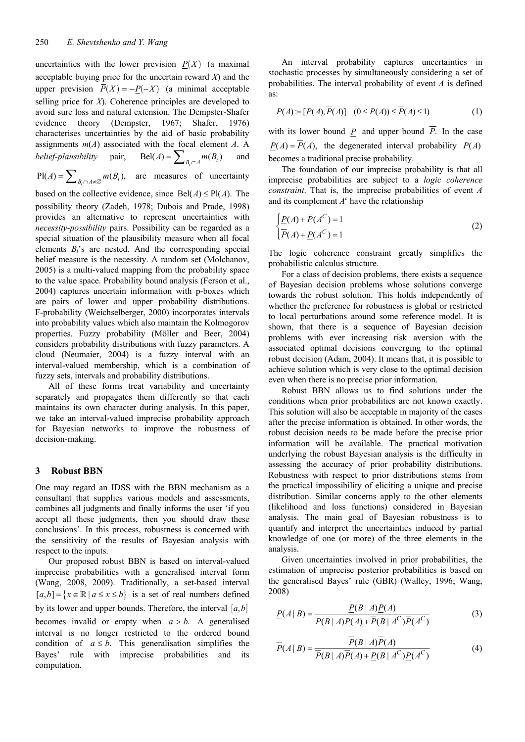uncertainties with the lower prevision  $P(X)$  (a maximal acceptable buying price for the uncertain reward *X*) and the upper prevision  $\overline{P}(X) = -P(-X)$  (a minimal acceptable selling price for *X*). Coherence principles are developed to avoid sure loss and natural extension. The Dempster-Shafer evidence theory (Dempster, 1967; Shafer, 1976) characterises uncertainties by the aid of basic probability assignments *m*(*A*) associated with the focal element *A*. A *belief-plausibility* pair,  $Bel(A) = \sum_{B_i \subset A} m(B_i)$  and

 $P1(A) = \sum_{B_i \cap A \neq \emptyset} m(B_i)$ , are measures of uncertainty

based on the collective evidence, since  $Bel(A) \leq Pl(A)$ . The possibility theory (Zadeh, 1978; Dubois and Prade, 1998) provides an alternative to represent uncertainties with *necessity*-*possibility* pairs. Possibility can be regarded as a special situation of the plausibility measure when all focal elements *Bi*'s are nested. And the corresponding special belief measure is the necessity. A random set (Molchanov, 2005) is a multi-valued mapping from the probability space to the value space. Probability bound analysis (Ferson et al., 2004) captures uncertain information with p-boxes which are pairs of lower and upper probability distributions. F-probability (Weichselberger, 2000) incorporates intervals into probability values which also maintain the Kolmogorov properties. Fuzzy probability (Möller and Beer, 2004) considers probability distributions with fuzzy parameters. A cloud (Neumaier, 2004) is a fuzzy interval with an interval-valued membership, which is a combination of fuzzy sets, intervals and probability distributions.

All of these forms treat variability and uncertainty separately and propagates them differently so that each maintains its own character during analysis. In this paper, we take an interval-valued imprecise probability approach for Bayesian networks to improve the robustness of decision-making.

## **3 Robust BBN**

One may regard an IDSS with the BBN mechanism as a consultant that supplies various models and assessments, combines all judgments and finally informs the user 'if you accept all these judgments, then you should draw these conclusions'. In this process, robustness is concerned with the sensitivity of the results of Bayesian analysis with respect to the inputs.

Our proposed robust BBN is based on interval-valued imprecise probabilities with a generalised interval form (Wang, 2008, 2009). Traditionally, a set-based interval  $[a,b] = \{x \in \mathbb{R} \mid a \le x \le b\}$  is a set of real numbers defined by its lower and upper bounds. Therefore, the interval  $[a, b]$ becomes invalid or empty when  $a > b$ . A generalised interval is no longer restricted to the ordered bound condition of  $a \leq b$ . This generalisation simplifies the Bayes' rule with imprecise probabilities and its computation.

An interval probability captures uncertainties in stochastic processes by simultaneously considering a set of probabilities. The interval probability of event *A* is defined as:

$$
P(A) := [\underline{P}(A), \overline{P}(A)] \quad (0 \le \underline{P}(A)) \le \overline{P}(A) \le 1)
$$
 (1)

with its lower bound *P* and upper bound  $\overline{P}$ . In the case  $P(A) = \overline{P}(A)$ , the degenerated interval probability  $P(A)$ becomes a traditional precise probability.

The foundation of our imprecise probability is that all imprecise probabilities are subject to a *logic coherence constraint*. That is, the imprecise probabilities of event *A* and its complement  $A<sup>c</sup>$  have the relationship

$$
\begin{cases}\n\underline{P}(A) + \overline{P}(A^C) = 1\\ \n\overline{P}(A) + \underline{P}(A^C) = 1\n\end{cases}
$$
\n(2)

The logic coherence constraint greatly simplifies the probabilistic calculus structure.

For a class of decision problems, there exists a sequence of Bayesian decision problems whose solutions converge towards the robust solution. This holds independently of whether the preference for robustness is global or restricted to local perturbations around some reference model. It is shown, that there is a sequence of Bayesian decision problems with ever increasing risk aversion with the associated optimal decisions converging to the optimal robust decision (Adam, 2004). It means that, it is possible to achieve solution which is very close to the optimal decision even when there is no precise prior information.

Robust BBN allows us to find solutions under the conditions when prior probabilities are not known exactly. This solution will also be acceptable in majority of the cases after the precise information is obtained. In other words, the robust decision needs to be made before the precise prior information will be available. The practical motivation underlying the robust Bayesian analysis is the difficulty in assessing the accuracy of prior probability distributions. Robustness with respect to prior distributions stems from the practical impossibility of eliciting a unique and precise distribution. Similar concerns apply to the other elements (likelihood and loss functions) considered in Bayesian analysis. The main goal of Bayesian robustness is to quantify and interpret the uncertainties induced by partial knowledge of one (or more) of the three elements in the analysis.

Given uncertainties involved in prior probabilities, the estimation of imprecise posterior probabilities is based on the generalised Bayes' rule (GBR) (Walley, 1996; Wang, 2008)

$$
\underline{P}(A \mid B) = \frac{\underline{P}(B \mid A)\underline{P}(A)}{\underline{P}(B \mid A)\underline{P}(A) + \overline{P}(B \mid A^C)\overline{P}(A^C)}
$$
(3)

$$
\overline{P}(A \mid B) = \frac{P(B \mid A)P(A)}{\overline{P}(B \mid A)\overline{P}(A) + \underline{P}(B \mid A^C)\underline{P}(A^C)}
$$
(4)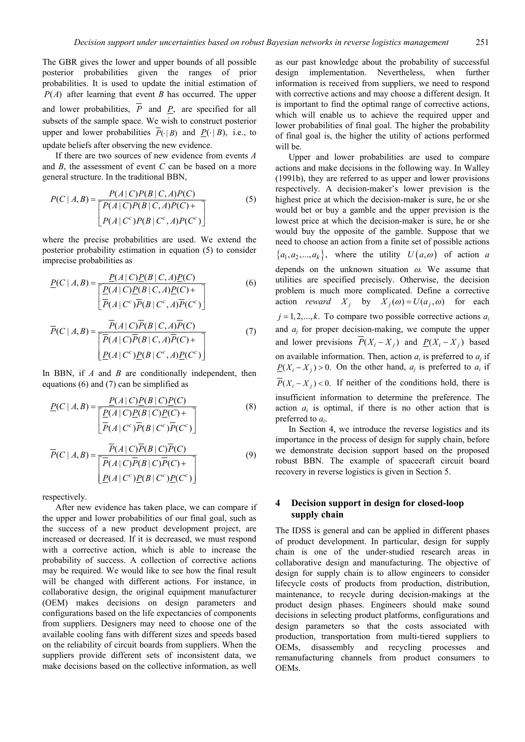The GBR gives the lower and upper bounds of all possible posterior probabilities given the ranges of prior probabilities. It is used to update the initial estimation of  $P(A)$  after learning that event *B* has occurred. The upper and lower probabilities,  $\overline{P}$  and  $\overline{P}$ , are specified for all subsets of the sample space. We wish to construct posterior upper and lower probabilities  $\overline{P}(\cdot | B)$  and  $P(\cdot | B)$ , i.e., to update beliefs after observing the new evidence.

If there are two sources of new evidence from events *A* and *B*, the assessment of event *C* can be based on a more general structure. In the traditional BBN,

$$
P(C | A, B) = \frac{P(A | C)P(B | C, A)P(C)}{\begin{bmatrix} P(A | C)P(B | C, A)P(C) + \\ P(A | C^c)P(B | C^c, A)P(C^c) \end{bmatrix}}
$$
(5)

where the precise probabilities are used. We extend the posterior probability estimation in equation (5) to consider imprecise probabilities as

$$
\underline{P}(C \mid A, B) = \frac{\underline{P}(A \mid C)\underline{P}(B \mid C, A)\underline{P}(C)}{\left[\frac{\underline{P}(A \mid C)\underline{P}(B \mid C, A)\underline{P}(C) + \overline{\overline{P}(A \mid C^c)\overline{P}(B \mid C^c, A)\overline{P}(C^c)}\right]}
$$
(6)

$$
\overline{P}(C \mid A, B) = \frac{\overline{P}(A \mid C)\overline{P}(B \mid C, A)\overline{P}(C)}{\left[\overline{P}(A \mid C)\overline{P}(B \mid C, A)\overline{P}(C) + \right]}
$$
(7)  

$$
\underline{P}(A \mid C^{c})\underline{P}(B \mid C^{c}, A)\underline{P}(C^{c})
$$

In BBN, if *A* and *B* are conditionally independent, then equations (6) and (7) can be simplified as

$$
\underline{P}(C \mid A, B) = \frac{\underline{P}(A \mid C)\underline{P}(B \mid C)\underline{P}(C)}{\left[\frac{\underline{P}(A \mid C)\underline{P}(B \mid C)\underline{P}(C) + \ \ \overline{P}(A \mid C^c)\overline{P}(B \mid C^c)\overline{P}(C^c)\right]}
$$
(8)

$$
\overline{P}(C | A, B) = \frac{\overline{P}(A | C)\overline{P}(B | C)\overline{P}(C)}{\left[\overline{P}(A | C)\overline{P}(B | C)\overline{P}(C) + \right]}
$$
\n
$$
\underline{P}(A | C^c)\underline{P}(B | C^c)\underline{P}(C^c)
$$
\n(9)

respectively.

After new evidence has taken place, we can compare if the upper and lower probabilities of our final goal, such as the success of a new product development project, are increased or decreased. If it is decreased, we must respond with a corrective action, which is able to increase the probability of success. A collection of corrective actions may be required. We would like to see how the final result will be changed with different actions. For instance, in collaborative design, the original equipment manufacturer (OEM) makes decisions on design parameters and configurations based on the life expectancies of components from suppliers. Designers may need to choose one of the available cooling fans with different sizes and speeds based on the reliability of circuit boards from suppliers. When the suppliers provide different sets of inconsistent data, we make decisions based on the collective information, as well

as our past knowledge about the probability of successful design implementation. Nevertheless, when further information is received from suppliers, we need to respond with corrective actions and may choose a different design. It is important to find the optimal range of corrective actions, which will enable us to achieve the required upper and lower probabilities of final goal. The higher the probability of final goal is, the higher the utility of actions performed will be.

Upper and lower probabilities are used to compare actions and make decisions in the following way. In Walley (1991b), they are referred to as upper and lower provisions respectively. A decision-maker's lower prevision is the highest price at which the decision-maker is sure, he or she would bet or buy a gamble and the upper prevision is the lowest price at which the decision-maker is sure, he or she would buy the opposite of the gamble. Suppose that we need to choose an action from a finite set of possible actions  ${a_1, a_2, ..., a_k}$ , where the utility  $U(a, \omega)$  of action *a* depends on the unknown situation  $\omega$ . We assume that utilities are specified precisely. Otherwise, the decision problem is much more complicated. Define a corrective action *reward*  $X_j$  by  $X_j(\omega) = U(a_j, \omega)$  for each  $j = 1, 2, \ldots, k$ . To compare two possible corrective actions  $a_i$ and *aj* for proper decision-making, we compute the upper and lower previsions  $\overline{P}(X_i - X_i)$  and  $P(X_i - X_i)$  based on available information. Then, action  $a_i$  is preferred to  $a_i$  if  $\underline{P}(X_i - X_j) > 0$ . On the other hand,  $a_j$  is preferred to  $a_i$  if  $\overline{P}(X_i - X_i) < 0$ . If neither of the conditions hold, there is insufficient information to determine the preference. The action  $a_i$  is optimal, if there is no other action that is preferred to *ai*.

In Section 4, we introduce the reverse logistics and its importance in the process of design for supply chain, before we demonstrate decision support based on the proposed robust BBN. The example of spacecraft circuit board recovery in reverse logistics is given in Section 5.

## **4 Decision support in design for closed-loop supply chain**

The IDSS is general and can be applied in different phases of product development. In particular, design for supply chain is one of the under-studied research areas in collaborative design and manufacturing. The objective of design for supply chain is to allow engineers to consider lifecycle costs of products from production, distribution, maintenance, to recycle during decision-makings at the product design phases. Engineers should make sound decisions in selecting product platforms, configurations and design parameters so that the costs associated with production, transportation from multi-tiered suppliers to OEMs, disassembly and recycling processes and remanufacturing channels from product consumers to OEMs.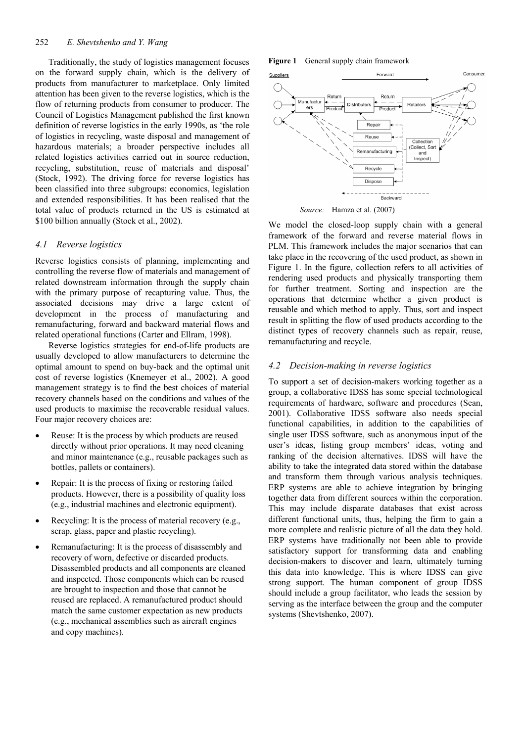#### 252 *E. Shevtshenko and Y. Wang*

Traditionally, the study of logistics management focuses on the forward supply chain, which is the delivery of products from manufacturer to marketplace. Only limited attention has been given to the reverse logistics, which is the flow of returning products from consumer to producer. The Council of Logistics Management published the first known definition of reverse logistics in the early 1990s, as 'the role of logistics in recycling, waste disposal and management of hazardous materials; a broader perspective includes all related logistics activities carried out in source reduction, recycling, substitution, reuse of materials and disposal' (Stock, 1992). The driving force for reverse logistics has been classified into three subgroups: economics, legislation and extended responsibilities. It has been realised that the total value of products returned in the US is estimated at \$100 billion annually (Stock et al., 2002).

## *4.1 Reverse logistics*

Reverse logistics consists of planning, implementing and controlling the reverse flow of materials and management of related downstream information through the supply chain with the primary purpose of recapturing value. Thus, the associated decisions may drive a large extent of development in the process of manufacturing and remanufacturing, forward and backward material flows and related operational functions (Carter and Ellram, 1998).

Reverse logistics strategies for end-of-life products are usually developed to allow manufacturers to determine the optimal amount to spend on buy-back and the optimal unit cost of reverse logistics (Knemeyer et al., 2002). A good management strategy is to find the best choices of material recovery channels based on the conditions and values of the used products to maximise the recoverable residual values. Four major recovery choices are:

- Reuse: It is the process by which products are reused directly without prior operations. It may need cleaning and minor maintenance (e.g., reusable packages such as bottles, pallets or containers).
- Repair: It is the process of fixing or restoring failed products. However, there is a possibility of quality loss (e.g., industrial machines and electronic equipment).
- Recycling: It is the process of material recovery (e.g., scrap, glass, paper and plastic recycling).
- Remanufacturing: It is the process of disassembly and recovery of worn, defective or discarded products. Disassembled products and all components are cleaned and inspected. Those components which can be reused are brought to inspection and those that cannot be reused are replaced. A remanufactured product should match the same customer expectation as new products (e.g., mechanical assemblies such as aircraft engines and copy machines).







We model the closed-loop supply chain with a general framework of the forward and reverse material flows in PLM. This framework includes the major scenarios that can take place in the recovering of the used product, as shown in Figure 1. In the figure, collection refers to all activities of rendering used products and physically transporting them for further treatment. Sorting and inspection are the operations that determine whether a given product is reusable and which method to apply. Thus, sort and inspect result in splitting the flow of used products according to the distinct types of recovery channels such as repair, reuse, remanufacturing and recycle.

#### *4.2 Decision-making in reverse logistics*

To support a set of decision-makers working together as a group, a collaborative IDSS has some special technological requirements of hardware, software and procedures (Sean, 2001). Collaborative IDSS software also needs special functional capabilities, in addition to the capabilities of single user IDSS software, such as anonymous input of the user's ideas, listing group members' ideas, voting and ranking of the decision alternatives. IDSS will have the ability to take the integrated data stored within the database and transform them through various analysis techniques. ERP systems are able to achieve integration by bringing together data from different sources within the corporation. This may include disparate databases that exist across different functional units, thus, helping the firm to gain a more complete and realistic picture of all the data they hold. ERP systems have traditionally not been able to provide satisfactory support for transforming data and enabling decision-makers to discover and learn, ultimately turning this data into knowledge. This is where IDSS can give strong support. The human component of group IDSS should include a group facilitator, who leads the session by serving as the interface between the group and the computer systems (Shevtshenko, 2007).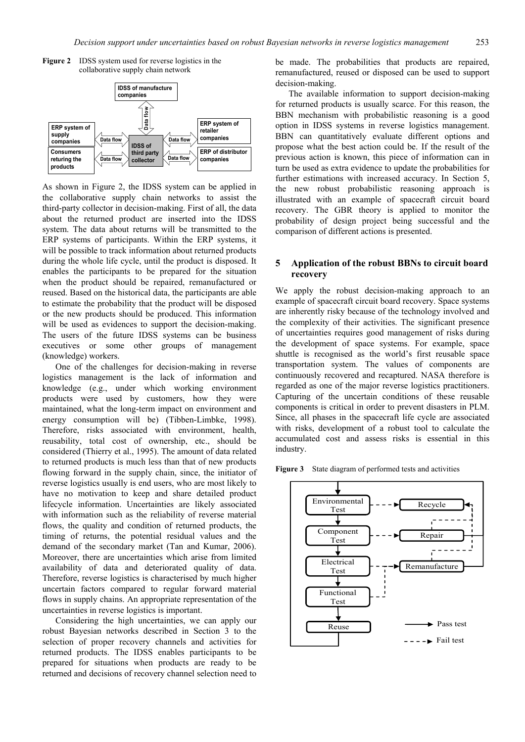



As shown in Figure 2, the IDSS system can be applied in the collaborative supply chain networks to assist the third-party collector in decision-making. First of all, the data about the returned product are inserted into the IDSS system. The data about returns will be transmitted to the ERP systems of participants. Within the ERP systems, it will be possible to track information about returned products during the whole life cycle, until the product is disposed. It enables the participants to be prepared for the situation when the product should be repaired, remanufactured or reused. Based on the historical data, the participants are able to estimate the probability that the product will be disposed or the new products should be produced. This information will be used as evidences to support the decision-making. The users of the future IDSS systems can be business executives or some other groups of management (knowledge) workers.

One of the challenges for decision-making in reverse logistics management is the lack of information and knowledge (e.g., under which working environment products were used by customers, how they were maintained, what the long-term impact on environment and energy consumption will be) (Tibben-Limbke, 1998). Therefore, risks associated with environment, health, reusability, total cost of ownership, etc., should be considered (Thierry et al., 1995). The amount of data related to returned products is much less than that of new products flowing forward in the supply chain, since, the initiator of reverse logistics usually is end users, who are most likely to have no motivation to keep and share detailed product lifecycle information. Uncertainties are likely associated with information such as the reliability of reverse material flows, the quality and condition of returned products, the timing of returns, the potential residual values and the demand of the secondary market (Tan and Kumar, 2006). Moreover, there are uncertainties which arise from limited availability of data and deteriorated quality of data. Therefore, reverse logistics is characterised by much higher uncertain factors compared to regular forward material flows in supply chains. An appropriate representation of the uncertainties in reverse logistics is important.

Considering the high uncertainties, we can apply our robust Bayesian networks described in Section 3 to the selection of proper recovery channels and activities for returned products. The IDSS enables participants to be prepared for situations when products are ready to be returned and decisions of recovery channel selection need to

be made. The probabilities that products are repaired, remanufactured, reused or disposed can be used to support decision-making.

The available information to support decision-making for returned products is usually scarce. For this reason, the BBN mechanism with probabilistic reasoning is a good option in IDSS systems in reverse logistics management. BBN can quantitatively evaluate different options and propose what the best action could be. If the result of the previous action is known, this piece of information can in turn be used as extra evidence to update the probabilities for further estimations with increased accuracy. In Section 5, the new robust probabilistic reasoning approach is illustrated with an example of spacecraft circuit board recovery. The GBR theory is applied to monitor the probability of design project being successful and the comparison of different actions is presented.

## **5 Application of the robust BBNs to circuit board recovery**

We apply the robust decision-making approach to an example of spacecraft circuit board recovery. Space systems are inherently risky because of the technology involved and the complexity of their activities. The significant presence of uncertainties requires good management of risks during the development of space systems. For example, space shuttle is recognised as the world's first reusable space transportation system. The values of components are continuously recovered and recaptured. NASA therefore is regarded as one of the major reverse logistics practitioners. Capturing of the uncertain conditions of these reusable components is critical in order to prevent disasters in PLM. Since, all phases in the spacecraft life cycle are associated with risks, development of a robust tool to calculate the accumulated cost and assess risks is essential in this industry.

Figure 3 State diagram of performed tests and activities

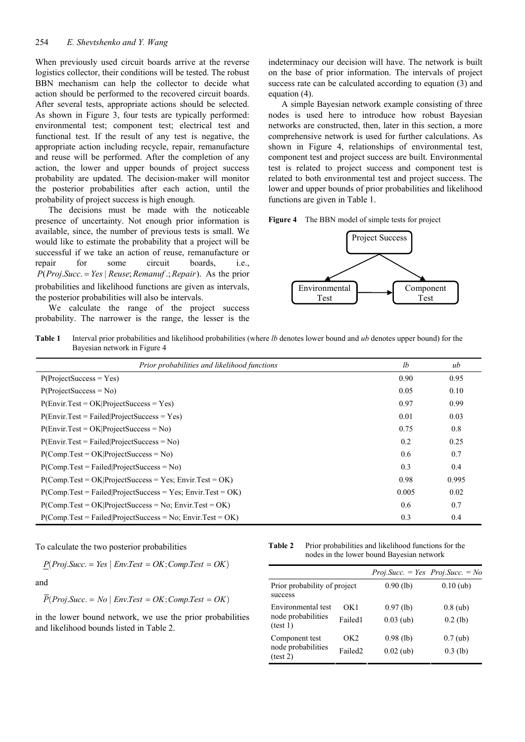When previously used circuit boards arrive at the reverse logistics collector, their conditions will be tested. The robust BBN mechanism can help the collector to decide what action should be performed to the recovered circuit boards. After several tests, appropriate actions should be selected. As shown in Figure 3, four tests are typically performed: environmental test; component test; electrical test and functional test. If the result of any test is negative, the appropriate action including recycle, repair, remanufacture and reuse will be performed. After the completion of any action, the lower and upper bounds of project success probability are updated. The decision-maker will monitor the posterior probabilities after each action, until the probability of project success is high enough.

The decisions must be made with the noticeable presence of uncertainty. Not enough prior information is available, since, the number of previous tests is small. We would like to estimate the probability that a project will be successful if we take an action of reuse, remanufacture or repair for some circuit boards, i.e.,  $P(Proj.Succ = Yes \mid Reuse; Remain; Repair)$ . As the prior probabilities and likelihood functions are given as intervals, the posterior probabilities will also be intervals.

We calculate the range of the project success probability. The narrower is the range, the lesser is the indeterminacy our decision will have. The network is built on the base of prior information. The intervals of project success rate can be calculated according to equation (3) and equation (4).

A simple Bayesian network example consisting of three nodes is used here to introduce how robust Bayesian networks are constructed, then, later in this section, a more comprehensive network is used for further calculations. As shown in Figure 4, relationships of environmental test, component test and project success are built. Environmental test is related to project success and component test is related to both environmental test and project success. The lower and upper bounds of prior probabilities and likelihood functions are given in Table 1.





**Table 1** Interval prior probabilities and likelihood probabilities (where *lb* denotes lower bound and *ub* denotes upper bound) for the Bayesian network in Figure 4

| Prior probabilities and likelihood functions                   |       | ub    |
|----------------------------------------------------------------|-------|-------|
| $P(ProjectSuccess = Yes)$                                      | 0.90  | 0.95  |
| $P(ProjectSuccess = No)$                                       | 0.05  | 0.10  |
| $P(Envir.Test = OK  ProjectSuccess = Yes)$                     | 0.97  | 0.99  |
| $P(Envir.Test = Failed   ProjectSuccess = Yes)$                | 0.01  | 0.03  |
| $P(Envir.Test = OK  ProjectSuccess = No)$                      | 0.75  | 0.8   |
| $P(Envir.Test = Failed   ProjectSuccess = No)$                 | 0.2   | 0.25  |
| $P(Comp.Test = OK  ProjectSuccess = No)$                       | 0.6   | 0.7   |
| $P(Comp.Test = Failed  ProjectSuccess = No)$                   | 0.3   | 0.4   |
| $P(Comp.Test = OK  ProjectSuccess = Yes; Envir.Test = OK)$     | 0.98  | 0.995 |
| $P(Comp.Test = Failed  ProjectSuccess = Yes; Envir.Test = OK)$ | 0.005 | 0.02  |
| $P(Comp.Test = OK  ProjectSuccess = No; Envir.Test = OK)$      | 0.6   | 0.7   |
| $P(Comp.Test = Failed   ProjectSuccess = No; Envir.Test = OK)$ | 0.3   | 0.4   |

To calculate the two posterior probabilities

$$
P(Proj.Succ. = Yes \mid Env.Test = OK; Comp.Test = OK)
$$

and

$$
\overline{P}(Proj.Succ. = No \mid Env.Test = OK; Comp.Test = OK)
$$

in the lower bound network, we use the prior probabilities and likelihood bounds listed in Table 2.

**Table 2** Prior probabilities and likelihood functions for the nodes in the lower bound Bayesian network

|                                                      |                                        | $Proj.Succ. = Yes Proj.Succ. = No$ |                          |
|------------------------------------------------------|----------------------------------------|------------------------------------|--------------------------|
| Prior probability of project<br>success              |                                        | $0.90$ (lb)                        | $0.10$ (ub)              |
| Environmental test<br>node probabilities<br>(test 1) | OK <sub>1</sub><br>Failed1             | $0.97$ (lb)<br>$0.03$ (ub)         | $0.8$ (ub)<br>$0.2$ (lb) |
| Component test<br>node probabilities<br>(test 2)     | OK <sub>2</sub><br>Failed <sub>2</sub> | $0.98$ (lb)<br>$0.02$ (ub)         | $0.7$ (ub)<br>$0.3$ (lb) |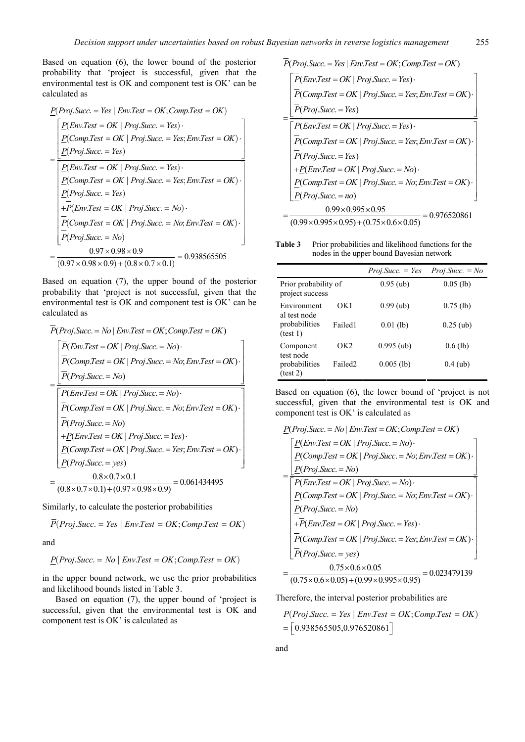Based on equation (6), the lower bound of the posterior probability that 'project is successful, given that the environmental test is OK and component test is OK' can be calculated as

$$
\underline{P(Proj.Succ. = Yes | Env.Test = OK; Comp.Test = OK)}
$$
\n
$$
= \frac{\left[\underline{P(Env.Test = OK | Proj.Succ. = Yes)} \cdot \underline{P(Comp.Test = OK | Proj.Succ. = Yes; Env.Test = OK)} \cdot \underline{P(Proj.Succ. = Yes)} \cdot \underline{P(Proj.Succ. = Yes)}
$$
\n
$$
= \frac{\left[\underline{P(Env.Test = OK | Proj.Succ. = Yes; Env.Test = OK)} \cdot \underline{P(Comp.Test = OK | Proj.Succ. = Yes; Env.Test = OK)} \cdot \underline{P(Proj.Succ. = Yes)} \right]}{\left[\underline{P(Proj.Succ. = Yes)} \cdot \underline{P(Proj.Succ. = No | Proj.Succ. = No)} \cdot \underline{P(Proj.Succ. = OK | Proj.Succ. = No)} \cdot \underline{P(Comp.Test = OK | Proj.Succ. = No; Env.Test = OK)} \cdot \underline{P(Proj.Succ. = No)}
$$
\n
$$
= \frac{0.97 \times 0.98 \times 0.9}{(0.97 \times 0.98 \times 0.9) + (0.8 \times 0.7 \times 0.1)} = 0.938565505
$$

Based on equation (7), the upper bound of the posterior probability that 'project is not successful, given that the environmental test is OK and component test is OK' can be calculated as

$$
P(Proj.Succ. = No | Env.Test = OK; Comp.Test = OK)
$$
\n
$$
= \frac{\boxed{P(Env.Test = OK | Proj.Succ. = No)} \cdot \boxed{P(Comp.Test = OK | Proj.Succ. = No; Env.Test = OK)} \cdot \boxed{P(Proj.Succ. = No)}
$$
\n
$$
= \frac{\boxed{P(Env.Test = OK | Proj.Succ. = No)} \cdot \boxed{P(Emp.Test = OK | Proj.Succ. = No)} \cdot \boxed{P(Comp.Test = OK | Proj.Succ. = No; Env.Test = OK)} \cdot \boxed{P(Proj.Succ. = No)} \cdot \boxed{P(Proj.Succ. = No)} \cdot \boxed{P(Proj.Succ. = OK | Proj.Succ. = Yes)} \cdot \boxed{P(Comp.Test = OK | Proj.Succ. = Yes; Env.Test = OK)} \cdot \boxed{P(Proj.Succ. = yes)} \cdot \boxed{0.8 \times 0.7 \times 0.1} = 0.061434495
$$

Similarly, to calculate the posterior probabilities

$$
\overline{P}(Proj.Succ. = Yes \mid Env.Test = OK; Comp.Test = OK)
$$

and

 $\overline{a}$ 

$$
P(Proj.Succ. = No \mid Env.Test = OK; Comp.Test = OK)
$$

in the upper bound network, we use the prior probabilities and likelihood bounds listed in Table 3.

Based on equation (7), the upper bound of 'project is successful, given that the environmental test is OK and component test is OK' is calculated as

$$
P(Proj.Succ. = Yes | Env.Test = OK; Comp.Test = OK)
$$
\n
$$
P(Env.Test = OK | Proj.Succ. = Yes)
$$
\n
$$
P(Comp.Test = OK | Proj.Succ. = Yes; Env.Test = OK)
$$
\n
$$
P(Prop.Test = OK | Proj.Succ. = Yes)
$$
\n
$$
P(Comp.Test = OK | Proj.Succ. = Yes)
$$
\n
$$
P(Comp.Test = OK | Proj.Succ. = Yes; Env.Test = OK)
$$
\n
$$
P(Proj.Succ. = Yes)
$$
\n
$$
+ P(Env.Test = OK | Proj.Succ. = No)
$$
\n
$$
P(Comp.Test = OK | Proj.Succ. = No)
$$
\n
$$
P(Comp.Test = OK | Proj.Succ. = No; Env.Test = OK)
$$
\n
$$
P(Prop.Test = OK | Proj.Succ. = No; Env.Test = OK)
$$
\n
$$
P(Proj.Succ. = no)
$$
\n
$$
= \frac{0.99 \times 0.995 \times 0.95}{(0.99 \times 0.995 \times 0.95) + (0.75 \times 0.6 \times 0.05)} = 0.976520861
$$

**Table 3** Prior probabilities and likelihood functions for the nodes in the upper bound Bayesian network

|                                                     |                     | $Proj.Succ. = Yes$ | <i>Proj.Succ.</i> $=No$ |
|-----------------------------------------------------|---------------------|--------------------|-------------------------|
| Prior probability of<br>project success             |                     | $0.95$ (ub)        | $0.05$ (lb)             |
| Environment<br>al test node                         | OK1                 | $0.99$ (ub)        | $0.75$ (lb)             |
| probabilities<br>(test 1)                           | Failed1             | $0.01$ (lb)        | $0.25$ (ub)             |
| Component<br>test node<br>probabilities<br>(test 2) | OK2                 | $0.995$ (ub)       | $0.6$ (lb)              |
|                                                     | Failed <sub>2</sub> | $0.005$ (lb)       | $0.4$ (ub)              |

Based on equation (6), the lower bound of 'project is not successful, given that the environmental test is OK and component test is OK' is calculated as

$$
\underline{P(Proj.Succ. = No | Env.Test = OK; Comp.Test = OK)}
$$
\n
$$
= \frac{\left[\underline{P(Env.Test = OK | Proj.Succ. = No)}\cdot \underline{P(Comp.Test = OK | Proj.Succ. = No; Env.Test = OK)}\cdot \right]}{\left[\underline{P(Proj.Succ. = No)}\cdot \underline{P(Proj.Succ. = No)}\cdot \underline{P(Comp.Test = OK | Proj.Succ. = No)}\cdot \right]}
$$
\n
$$
= \frac{\left[\underline{P(Env.Test = OK | Proj.Succ. = No, Env.Test = OK)}\cdot \right]}{\left[\underline{P(Proj.Succ. = No)}\cdot \right]} \cdot \frac{\left[\underline{P(Proj.Succ. = No)}\cdot \underline{P(Proj.Succ. = No)}\cdot \right]}{\left[\underline{P(Proj.Succ. = OK | Proj.Succ. = Yes)}\cdot \right]} \cdot \frac{\left[\underline{P(Comp.Test = OK | Proj.Succ. = Yes)}\cdot \right]}{\left[\underline{P(Proj.Succ. = yes)}\right]} \cdot \frac{0.75 \times 0.6 \times 0.05}{0.75 \times 0.6 \times 0.05 + (0.99 \times 0.995 \times 0.95)} = 0.023479139
$$

Therefore, the interval posterior probabilities are

$$
P(Proj.Succ. = Yes \mid Env.Test = OK; Comp.Test = OK)
$$

$$
= [0.938565505, 0.976520861]
$$

and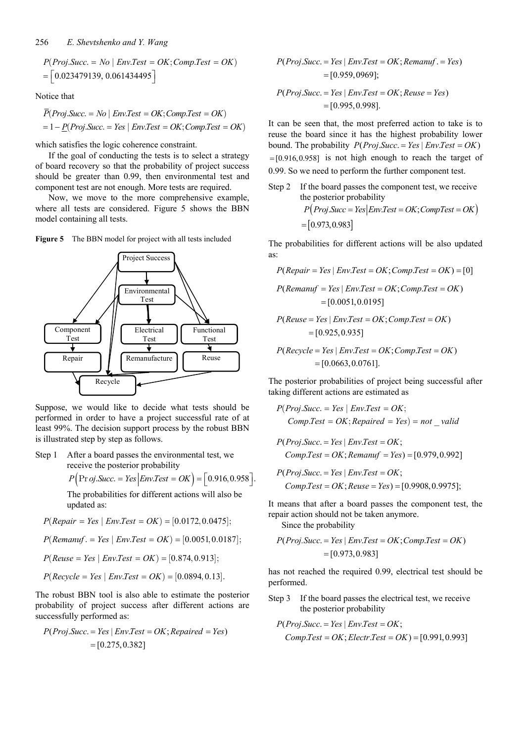$$
P(Proj.Succ. = No | Env.Test = OK; Comp.Test = OK)
$$
  
= [0.023479139, 0.061434495]

Notice that

$$
\overline{P}(Proj.Succ. = No \mid Env.Test = OK; Comp.Test = OK)
$$

$$
= 1 - \underline{P}(Proj.Succ. = Yes \mid Env.Test = OK; Comp.Test = OK)
$$

which satisfies the logic coherence constraint.

If the goal of conducting the tests is to select a strategy of board recovery so that the probability of project success should be greater than 0.99, then environmental test and component test are not enough. More tests are required.

Now, we move to the more comprehensive example, where all tests are considered. Figure 5 shows the BBN model containing all tests.





Suppose, we would like to decide what tests should be performed in order to have a project successful rate of at least 99%. The decision support process by the robust BBN is illustrated step by step as follows.

Step 1 After a board passes the environmental test, we receive the posterior probability

$$
P\Big(\Pr{\text{ }oj.Succ.}=Yes\Big|EnvTest=OK\Big)=\Big[0.916,0.958\Big].
$$

The probabilities for different actions will also be updated as:

 $P(Regular = Yes \mid Env.Test = OK) = [0.0172, 0.0475];$ 

 $P(Remanuf. = Yes \mid Env.Test = OK) = [0.0051, 0.0187];$ 

 $P(Reuse = Yes \mid Env.Test = OK) = [0.874, 0.913];$ 

$$
P(Recycle = Yes \mid Env.Test = OK) = [0.0894, 0.13].
$$

The robust BBN tool is also able to estimate the posterior probability of project success after different actions are successfully performed as:

$$
P(Proj.Succ. = Yes \mid Env.Test = OK; Repaired = Yes)
$$

$$
= [0.275, 0.382]
$$

$$
P(Proj.Succ. = Yes \mid Env.Test = OK; Remainuf. = Yes)
$$

$$
= [0.959,0969];
$$

$$
P(Proj.Succ. = Yes \mid Env.Test = OK; Reuse = Yes)
$$

$$
= [0.995, 0.998].
$$

It can be seen that, the most preferred action to take is to reuse the board since it has the highest probability lower bound. The probability  $P(Proj.Succ = Yes \mid Env.Test = OK)$  $=[0.916, 0.958]$  is not high enough to reach the target of 0.99. So we need to perform the further component test.

Step 2 If the board passes the component test, we receive  
the posterior probability  

$$
P(Proj.Succ = Yes|EnvTest = OK; CompTest = OK)
$$
  
= [0.973, 0.983]

The probabilities for different actions will be also updated as:

$$
P(\textit{Replace} = Yes \mid \textit{Env}.\textit{Test} = OK; \textit{Comp}.\textit{Test} = OK) = [0]
$$

$$
P(Remannif = Yes \mid Env.Test = OK; Comp.Test = OK)
$$

$$
= [0.0051, 0.0195]
$$

$$
P(Reuse = Yes | Env.Test = OK; Comp.Test = OK)
$$

$$
= [0.925, 0.935]
$$

$$
P(Recycle = Yes \mid Env.Test = OK; Comp.Test = OK)
$$

$$
= [0.0663, 0.0761].
$$

The posterior probabilities of project being successful after taking different actions are estimated as

$$
P(Proj.Succ. = Yes \mid Env.Test = OK;
$$
  
Comp.Test = OK; Repaired = Yes) = not valid

$$
P(Proj.Succ. = Yes \mid Env.Test = OK;
$$

$$
Comp.Test = OK; Remark = Yes) = [0.979, 0.992]
$$

$$
P(Proj.Succ. = Yes \mid Env.Test = OK;
$$
  
Comp.Test = OK; Reuse = Yes) = [0.9908, 0.9975];

It means that after a board passes the component test, the repair action should not be taken anymore.

Since the probability

$$
P(Proj.Succ. = Yes \mid Env.Test = OK; Comp.Test = OK)
$$

$$
= [0.973, 0.983]
$$

has not reached the required 0.99, electrical test should be performed.

Step 3 If the board passes the electrical test, we receive the posterior probability

$$
P(Proj.Succ. = Yes | Env.Test = OK;
$$

$$
Comp.Test = OK; Electr.Test = OK) = [0.991, 0.993]
$$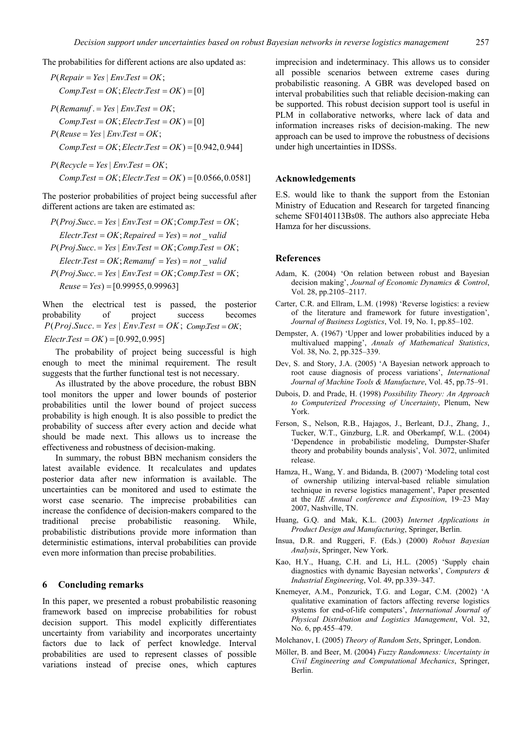The probabilities for different actions are also updated as:

 $P($ Repair = Yes  $| Env.Test = OK;$  $CompTest = OK$ ; Electr.Test =  $OK$ ) = [0]

 $P(Remanut = Yes \mid Env.Test = OK;$  $Comp.Test = OK$ ; Electr.Test =  $OK$ ) = [0]  $P($ *Reuse* =  $Yes | Env.Test = OK;$  $CompTest = OK$ ; Electr.Test =  $OK$ ) =  $[0.942, 0.944]$ 

 $P(Recycle = Yes \mid Env.Test = OK;$  $Comp.Test = OK$ ; *Electr*.*Test* =  $OK$ ) = [0.0566,0.0581]

The posterior probabilities of project being successful after different actions are taken are estimated as:

$$
P(Proj.Succ. = Yes \mid Env.Test = OK; Comp.Test = OK;
$$
  
\n
$$
Electr.Test = OK; Repaired = Yes) = not\_valid
$$
  
\n
$$
P(Proj.Succ. = Yes \mid Env.Test = OK; Comp.Test = OK;
$$
  
\n
$$
Electr.Test = OK; Remanuf = Yes) = not\_valid
$$
  
\n
$$
P(Proj.Succ. = Yes \mid Env.Test = OK; Comp.Test = OK;
$$
  
\n
$$
Reuse = Yes) = [0.99955, 0.99963]
$$

When the electrical test is passed, the posterior probability of project success becomes  $P(Proj.Succ = Yes \mid Env.Test = OK; Comp.Test = OK)$  $Electr. Test = OK$  = [0.992, 0.995]

The probability of project being successful is high enough to meet the minimal requirement. The result suggests that the further functional test is not necessary.

As illustrated by the above procedure, the robust BBN tool monitors the upper and lower bounds of posterior probabilities until the lower bound of project success probability is high enough. It is also possible to predict the probability of success after every action and decide what should be made next. This allows us to increase the effectiveness and robustness of decision-making.

In summary, the robust BBN mechanism considers the latest available evidence. It recalculates and updates posterior data after new information is available. The uncertainties can be monitored and used to estimate the worst case scenario. The imprecise probabilities can increase the confidence of decision-makers compared to the traditional precise probabilistic reasoning. While, probabilistic distributions provide more information than deterministic estimations, interval probabilities can provide even more information than precise probabilities.

## **6 Concluding remarks**

In this paper, we presented a robust probabilistic reasoning framework based on imprecise probabilities for robust decision support. This model explicitly differentiates uncertainty from variability and incorporates uncertainty factors due to lack of perfect knowledge. Interval probabilities are used to represent classes of possible variations instead of precise ones, which captures

imprecision and indeterminacy. This allows us to consider all possible scenarios between extreme cases during probabilistic reasoning. A GBR was developed based on interval probabilities such that reliable decision-making can be supported. This robust decision support tool is useful in PLM in collaborative networks, where lack of data and information increases risks of decision-making. The new approach can be used to improve the robustness of decisions under high uncertainties in IDSSs.

### **Acknowledgements**

E.S. would like to thank the support from the Estonian Ministry of Education and Research for targeted financing scheme SF0140113Bs08. The authors also appreciate Heba Hamza for her discussions.

#### **References**

- Adam, K. (2004) 'On relation between robust and Bayesian decision making', *Journal of Economic Dynamics & Control*, Vol. 28, pp.2105–2117.
- Carter, C.R. and Ellram, L.M. (1998) 'Reverse logistics: a review of the literature and framework for future investigation', *Journal of Business Logistics*, Vol. 19, No. 1, pp.85–102.
- Dempster, A. (1967) 'Upper and lower probabilities induced by a multivalued mapping', *Annals of Mathematical Statistics*, Vol. 38, No. 2, pp.325–339.
- Dev, S. and Story, J.A. (2005) 'A Bayesian network approach to root cause diagnosis of process variations', *International Journal of Machine Tools & Manufacture*, Vol. 45, pp.75–91.
- Dubois, D. and Prade, H. (1998) *Possibility Theory: An Approach to Computerized Processing of Uncertainty*, Plenum, New York.
- Ferson, S., Nelson, R.B., Hajagos, J., Berleant, D.J., Zhang, J., Tucker, W.T., Ginzburg, L.R. and Oberkampf, W.L. (2004) 'Dependence in probabilistic modeling, Dumpster-Shafer theory and probability bounds analysis', Vol. 3072, unlimited release.
- Hamza, H., Wang, Y. and Bidanda, B. (2007) 'Modeling total cost of ownership utilizing interval-based reliable simulation technique in reverse logistics management', Paper presented at the *IIE Annual conference and Exposition*, 19–23 May 2007, Nashville, TN.
- Huang, G.Q. and Mak, K.L. (2003) *Internet Applications in Product Design and Manufacturing*, Springer, Berlin.
- Insua, D.R. and Ruggeri, F. (Eds.) (2000) *Robust Bayesian Analysis*, Springer, New York.
- Kao, H.Y., Huang, C.H. and Li, H.L. (2005) 'Supply chain diagnostics with dynamic Bayesian networks', *Computers & Industrial Engineering*, Vol. 49, pp.339–347.
- Knemeyer, A.M., Ponzurick, T.G. and Logar, C.M. (2002) 'A qualitative examination of factors affecting reverse logistics systems for end-of-life computers', *International Journal of Physical Distribution and Logistics Management*, Vol. 32, No. 6, pp.455–479.
- Molchanov, I. (2005) *Theory of Random Sets*, Springer, London.
- Möller, B. and Beer, M. (2004) *Fuzzy Randomness: Uncertainty in Civil Engineering and Computational Mechanics*, Springer, Berlin.